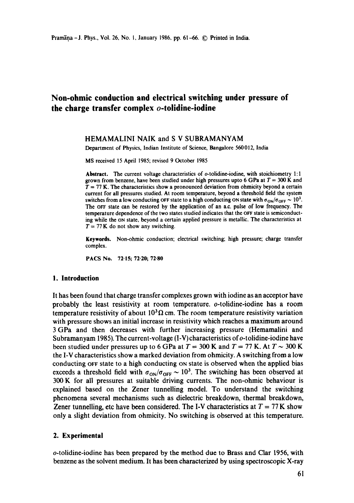# **Non-ohmic conduction and electrical switching under pressure of the charge transfer complex o-tolidine-iodine**

### HEMAMALINI NAIK and S V SUBRAMANYAM

Department of Physics, Indian Institute of Science, Bangalore 560012, India

MS received 15 April 1985; revised 9 October 1985

Abstract. The current voltage characteristics of o-tolidine-iodine, with stoichiometry 1:1 grown from benzene, have been studied under high pressures upto 6 GPa at  $T = 300$  K and  $T = 77$  K. The characteristics show a pronounced deviation from ohmicity beyond a certain current for all pressures studied. At room temperature, beyond a threshold field the system switches from a low conducting OFF state to a high conducting ON state with  $\sigma_{ON}/\sigma_{OFF} \sim 10^3$ . The OFF state can be restored by the application of an a.c. pulse of low frequency. The temperature dependence of the two states studied indicates that the OFF state is semiconducting while the on state, beyond a certain applied pressure is metallic. The characteristics at  $T = 77$  K do not show any switching.

**Keywords.** Non-ohmic conduction; electrical switching; high pressure; charge transfer complex.

PACS No. 72.15; 72.20; **72.80** 

#### **1. Introduction**

It has been found that charge transfer complexes grown with iodine as an acceptor have probably the least resistivity at room temperature, o-tolidine-iodine has a room temperature resistivity of about  $10<sup>3</sup>\Omega$  cm. The room temperature resistivity variation with pressure shows an initial increase in resistivity which reaches a maximum around 3 GPa and then decreases with further increasing pressure (Hemamalini and Subramanyam 1985). The current-voltage (I-V) characteristics of o-tolidine-iodine have been studied under pressures up to 6 GPa at  $T = 300$  K and  $T = 77$  K. At  $T \sim 300$  K the I-V characteristics show a marked deviation from ohmicity. A switching from a low conducting orf state to a high conducting on state is observed when the applied bias exceeds a threshold field with  $\sigma_{ON}/\sigma_{OFF} \sim 10^3$ . The switching has been observed at 300 K for all pressures at suitable driving currents. The non-ohmic behaviour is explained based on the Zener tunnelling model. To understand the switching phenomena several mechanisms such as dielectric breakdown, thermal breakdown, Zener tunnelling, etc have been considered. The I-V characteristics at  $T = 77$  K show only a slight deviation from ohmicity. No switching is observed at this temperature.

#### **2. Experimental**

o-tolidine-iodine has been prepared by the method due to Brass and Clar 1956, with benzene as the solvent medium. It has been characterized by using spectroscopic X-ray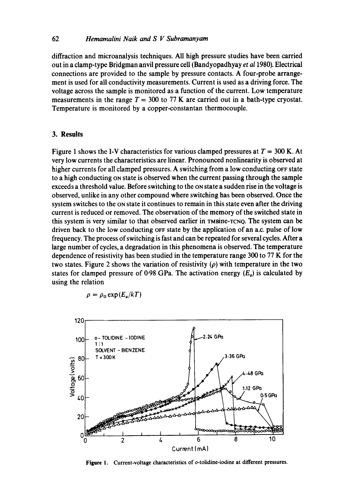diffraction and microanalysis techniques. All high pressure studies have been carried out in a clamp-type Bridgman anvil pressure cell (Bandyopadhyay *et a11980).* Electrical connections are provided to the sample by pressure contacts. A four-probe arrangement is used for all conductivity measurements. Current is used as a driving force. The voltage across the sample is monitored as a function of the current. Low temperature measurements in the range  $T = 300$  to 77 K are carried out in a bath-type cryostat. Temperature is monitored by a copper-constantan thermocouple.

### **3. Results**

Figure 1 shows the I-V characteristics for various clamped pressures at  $T = 300$  K. At very low currents the characteristics are linear. Pronounced nonlinearity is observed at higher currents for all clamped pressures. A switching from a low conducting OFF state to a high conducting on state is observed when the current passing through the sample exceeds a threshold value. Before switching to the on state a sudden rise in the voltage is observed, unlike in any other compound where switching has been observed. Once the system switches to the ON state it continues to remain in this state even after the driving current is reduced or removed. The observation of the memory of the switched state in this system is very similar to that observed earlier in rMaine-xcNQ. The system can be driven back to the low conducting  $\sigma$ F state by the application of an a.c. pulse of low frequency. The process of switching is fast and can be repeated for several cycles. After a large number of cycles, a degradation in this phenomena is observed. The temperature dependence of resistivity has been studied in the temperature range 300 to 77 K for the two states. Figure 2 shows the variation of resistivity ( $\rho$ ) with temperature in the two states for clamped pressure of 0.98 GPa. The activation energy  $(E_a)$  is calculated by using the relation

$$
\rho = \rho_0 \exp(E_a/kT)
$$



**Figure** 1. Current-voltage characteristics of o-tolidine-iodine at **different pressures.**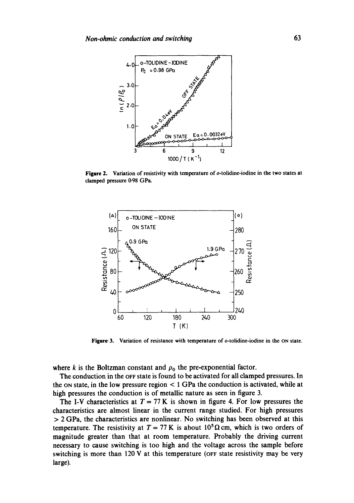

**Figure** 2. Variation of resistivity with temperature of o-tolidine-iodine in the two states at clamped pressure 0-98 GPa.



Figure 3. Variation of resistance with temperature of o-tolidine-iodine in the ON state.

where k is the Boltzman constant and  $\rho_0$  the pre-exponential factor.

The conduction in the OFF state is found to be activated for all clamped pressures. In the on state, in the low pressure region  $\lt 1$  GPa the conduction is activated, while at high pressures the conduction is of metallic nature as seen in figure 3.

The I-V characteristics at  $T = 77$  K is shown in figure 4. For low pressures the characteristics are almost linear in the current range studied. For high pressures  $> 2$  GPa, the characteristics are nonlinear. No switching has been observed at this temperature. The resistivity at  $T = 77$  K is about 10<sup>5</sup>  $\Omega$  cm, which is two orders of magnitude greater than that at room temperature. Probably the driving current necessary to cause switching is too high and the voltage across the sample before switching is more than 120 V at this temperature (OFF state resistivity may be very large).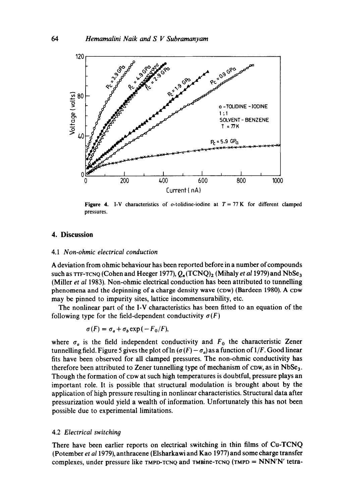

**Figure 4.** I-V characteristics of o-tolidine-iodine at  $T = 77$  K for different clamped pressures.

### 4. **Discussion**

#### 4.1 *Non-ohmic electrical conduction*

A deviation from ohmic behaviour has been reported before in a number of compounds such as  $TTF-TCNQ$  (Cohen and Heeger 1977),  $Q_n(TCNQ)_2$  (Mihaly *et al* 1979) and NbSe<sub>3</sub> (Miller *et al* 1983). Non-ohmic electrical conduction has been attributed to tunnelling phenomena and the depinning of a charge density wave (cow) (Bardeen 1980). A cow may be pinned to impurity sites, lattice incommensurability, etc.

The nonlinear part of the I-V characteristics has been fitted to an equation of the following type for the field-dependent conductivity  $\sigma(F)$ 

$$
\sigma(F) = \sigma_a + \sigma_b \exp(-F_0/F),
$$

where  $\sigma_a$  is the field independent conductivity and  $F_0$  the characteristic Zener tunnelling field. Figure 5 gives the plot of  $\ln (\sigma(F) - \sigma_a)$  as a function of 1/F. Good linear fits have been observed for all clamped pressures. The non-ohmic conductivity has therefore been attributed to Zener tunnelling type of mechanism of  $\text{row}, \text{as in NbSe}_3$ . Though the formation of cow at such high temperatures is doubtful, pressure plays an important role. It is possible that structural modulation is brought about by the application of high pressure resulting in nonlinear characteristics. Structural data after pressurization would yield a wealth of information. Unfortunately this has not been possible due to experimental limitations.

### 4.2 *Electrical switching*

There have been earlier reports on electrical switching in thin films of Cu-TCNQ (Potember *et al* 1979), anthracene (Elsharkawi and Kao 1977) and some charge transfer complexes, under pressure like  $T_{MPL}$ TCNQ and  $T_{MPL}$ TMIC (TMPD = NNN'N' tetra-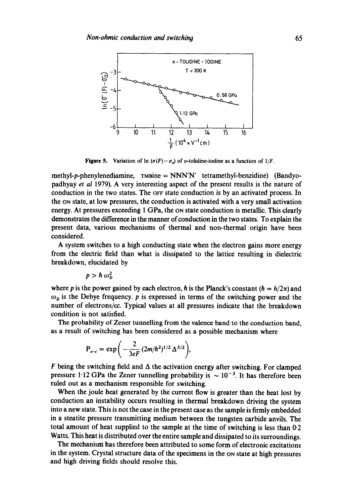

**Figure 5.** Variation of  $\ln (\sigma(F) - \sigma_a)$  of *o*-tolidine-iodine as a function of 1/*F*.

methyl-p-phenylenediamine,  $m$ sine =  $NNN'$  tetramethyl-benzidine) (Bandyopadhyay *et al* 1979). A very interesting aspect of the present results is the nature of conduction in the two states. The OFF state conduction is by an activated process. In the ON state, at low pressures, the conduction is activated with a very small activation energy. At pressures exceeding 1 GPa, the ON state conduction is metallic. This clearly demonstrates the difference in the manner of conduction in the two states. To explain the present data, various mechanisms of thermal and non-thermal origin have been considered.

A system switches to a high conducting state when the electron gains more energy from the electric field than what is dissipated to the lattice resulting in dielectric breakdown, elucidated by

$$
p > \hbar \omega_D^2
$$

where p is the power gained by each electron, h is the Planck's constant  $(h = h/2\pi)$  and  $\omega_p$  is the Debye frequency, p is expressed in terms of the switching power and the number of electrons/cc. Typical values at all pressures indicate that the breakdown condition is not satisfied.

The probability of Zener tunnelling from the valence band to the conduction band, as a result of switching has been considered as a possible mechanism where

$$
P_{v-c} = \exp\bigg(-\frac{2}{3eF}(2m/\hbar^2)^{1/2}\Delta^{3/2}\bigg),\,
$$

 $F$  being the switching field and  $\Delta$  the activation energy after switching. For clamped pressure 1.12 GPa the Zener tunnelling probability is  $\sim 10^{-3}$ . It has therefore been ruled out as a mechanism responsible for switching.

When the joule heat generated by the current flow is greater than the heat lost by conduction an instability occurs resulting in thermal breakdown driving the system into a new state. This is not the case in the present case as the sample is firmly embedded in a steatite pressure transmitting medium between the tungsten carbide anvils. The total amount of heat supplied to the sample at the time of switching is less than 0.2 Watts. This heat is distributed over the entire sample and dissipated to its surroundings.

The mechanism has therefore been attributed to some form of electronic excitations in the system. Crystal structure data of the specimens in the ON state at high pressures and high driving fields should resolve this.